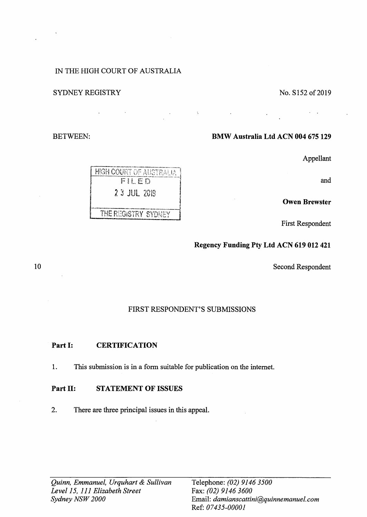# IN THE HIGH COURT OF AUSTRALIA

# SYDNEY REGISTRY No. S152 of 2019

BETWEEN: **BMW Australia Ltd ACN 004 675 129** 

Appellant

and

**Owen Brewster** 

First Respondent

# **Regency Funding Pty Ltd ACN 619 012 421**

Second Respondent

# FIRST RESPONDENT'S SUBMISSIONS

 $\bar{\gamma}$ 

# **Part I: CERTIFICATION**

1. This submission is in a form suitable for publication on the internet.

# **Part II: STATEMENT OF ISSUES**

2. There are three principal issues in this appeal.

**HIGH COURT OF AUSTRALIA**  $FIEED$ 2 3 JUL 2019 THE REGISTRY SYDNEY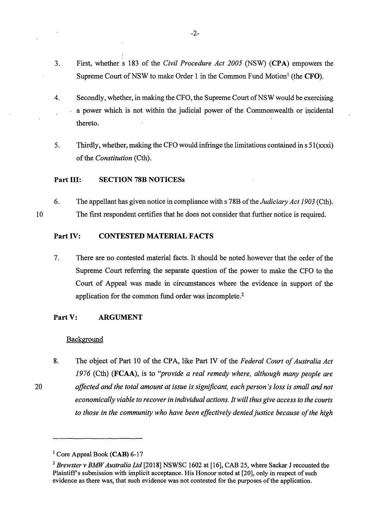- 3. First, whether s 183 of the *Civil Procedure Act 2005* (NSW) **(CPA)** empowers the Supreme Court of NSW to make Order 1 in the Common Fund Motion<sup>1</sup> (the CFO).
- 4. Secondly, whether, in making the CFO, the Supreme Court of NSW would be exercising a power which is not within the judicial power of the Commonwealth or incidental thereto.
- 5. Thirdly, whether, making the CFO would infringe the limitations contained ins 5 l(xxxi) of the *Constitution* (Cth).

## Part III: **SECTION 78B NOTICESs**

6. The appellant has given notice in compliance withs 78B of the *Judiciary Act 1903* (Cth). The first respondent certifies that he does not consider that further notice is required.

# **Part IV: CONTESTED MATERIAL FACTS**

7. There are no contested material facts. It should be noted however that the order of the Supreme Court referring the separate question of the power to make the CFO to the Court of Appeal was made in circumstances where the evidence in support of the application for the common fund order was incomplete.<sup>2</sup>

# **Part V: ARGUMENT**

#### Background

8. The object of Part 10 of the CPA, like Part IV of the *Federal Court of Australia Act 1976* (Cth) **(FCAA),** is to *''provide a real remedy where, although many people are affected and the total amount at issue is significant, each person's loss is small and not economically viable to recover in individual actions. It will thus give access to the courts to those in the community who have been effectively denied justice because of the high* 

-2-

20

<sup>1</sup> Core Appeal Book **(CAB)** 6-17

<sup>2</sup>*Brewster v BMW Australia Ltd* [2018] NSWSC 1602 at [16], CAB 25, where Sackar J recounted the Plaintiff's submission with implicit acceptance. His Honour noted at [20], only in respect of such evidence as there was, that such evidence was not contested for the purposes of the application.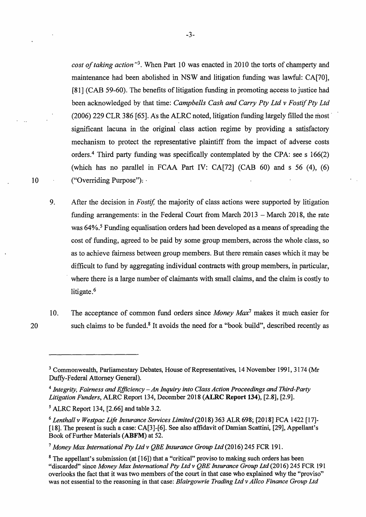*cost of taking action* "3. When Part 10 was enacted in 2010 the torts of champerty and maintenance had been abolished in NSW and litigation funding was lawful: CA[70], [81] (CAB 59-60). The benefits of litigation funding in promoting access to justice had been acknowledged by that time: *Campbells Cash and Carry Pty Ltd v Fostif Pty Ltd*  (2006) 229 CLR 386 [65]. As the ALRC noted, litigation funding largely filled the most· significant lacuna in the original class action regime by providing a satisfactory mechanism to protect the representative plaintiff from the impact of adverse costs orders.4 Third party funding was specifically contemplated by the CPA: sees 166(2) (which has no parallel in FCAA Part IV: CA $[72]$  (CAB 60) and s 56 (4), (6) ("Overriding Purpose"): ·

- 9. After the decision in *Fostif,* the majority of class actions were supported by litigation funding arrangements: in the Federal Court from March 2013 - March 2018, the rate was 64%.5 Funding equalisation orders had been developed as a means of spreading the cost of funding, agreed to be paid by some group members, across the whole class, so as to achieve fairness between group members. But there remain cases which it may be difficult to fund by aggregating individual contracts with group members, in particular, where there is a large number of claimants with small claims, and the claim is costly to litigate.<sup>6</sup>
- 20

10

10. The acceptance of common fund orders since *Money Max*7 makes it much easier for such claims to be funded.<sup>8</sup> It avoids the need for a "book build", described recently as

-3-

<sup>&</sup>lt;sup>3</sup> Commonwealth, Parliamentary Debates, House of Representatives, 14 November 1991, 3174 (Mr Duffy-Federal Attorney General).

<sup>4</sup>*Integrity, Fairness and Efficiency -An Inquiry into Class Action Proceedings and Third-Party Litigation Funders,* ALRC Report 134, December 2018 **(ALRC Report 134), [2.8],** [2.9].

*<sup>5</sup>* ALRC Report 134, [2.66] and table 3.2.

<sup>6</sup> *Lenthall v Westpac Life Insurance Services Limited(20l8)* 363 ALR 698; [2018] FCA 1422 [17]- [18]. The present is such a case: CA[3]-[6]. See also affidavit of Damian Scattini, [29], Appellant's Book of Further Materials **(ABFM)** at 52.

<sup>&</sup>lt;sup>7</sup> Money Max International Pty Ltd v QBE Insurance Group Ltd (2016) 245 FCR 191.

 $8$  The appellant's submission (at [16]) that a "critical" proviso to making such orders has been "discarded" since *Money Max International Pty Ltd v QBE Insurance Group Ltd* (2016) 245 FCR 191 overlooks the fact that it was two members of the court in that case who explained why the "proviso" was not essential to the reasoning in that case: *Blairgowrie Trading Ltd v Al/co Finance Group Ltd*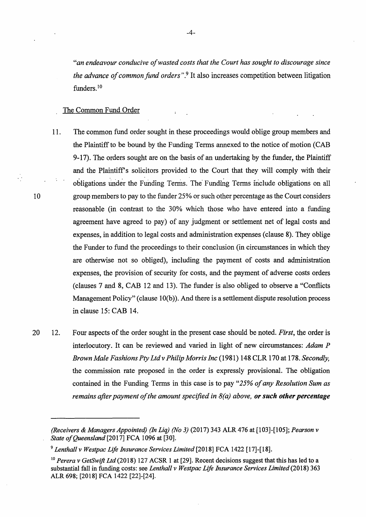*"an endeavour conducive of wasted costs that the Court has sought to discourage since the advance of common fund orders"* .9 It also increases competition between litigation funders. <sup>10</sup>

#### The Common Fund Order

IO

- 11. The common fund order sought in these proceedings would oblige group members and the Plaintiff to be bound by the Funding Terms annexed to the notice of motion (CAB 9-17). The orders sought are on the basis of an undertaking by the funder, the Plaintiff and the Plaintiffs solicitors provided to the Court that they will comply with their obligations under the Funding Terms. The Funding Terms include obligations on all group members to pay to the funder 25% or such other percentage as the Court considers reasonable (in contrast to the 30% which those who have entered into a funding agreement have agreed to pay) of any judgment or settlement net of legal costs and expenses, in addition to legal costs and administration expenses (clause 8). They oblige the Funder to fund the proceedings to their conclusion (in circumstances in which they are otherwise not so obliged), including the payment of costs and administration expenses, the provision of security for costs, and the payment of adverse costs orders (clauses 7 and 8, CAB 12 and 13). The funder is also obliged to observe a "Conflicts Management Policy" (clause  $10(b)$ ). And there is a settlement dispute resolution process in clause 15: CAB 14.
- 20 12. Four aspects of the order sought in the present case should be noted. *First,* the order is interlocutory. It can be reviewed and varied in light of new circumstances: *Adam P Brown Male Fashions Pty Ltd v Philip Morris Inc* (1981) 148 CLR 170 at 178. *Secondly,*  the commission rate proposed in the order is expressly provisional. The obligation contained in the Funding Terms in this case is to pay *"25% of any Resolution Sum as remains after payment of the amount specified in 8(a) above, or such other percentage*

*<sup>(</sup>Receivers* & *Managers Appointed) (In Liq) (No 3)* (2017) 343 ALR 476 at [103]-[105]; *Pearson v State of Queensland* [2017] FCA 1096 at [30].

<sup>9</sup>*Lenthall v Westpac Life Insurance Services Limited* [2018] FCA 1422 [ 17]-[ 18].

<sup>&</sup>lt;sup>10</sup> Perera v GetSwift Ltd (2018) 127 ACSR 1 at [29]. Recent decisions suggest that this has led to a substantial fall in funding costs: see *Lent hall v Westpac Life Insurance Services Limited* (2018) 363 ALR 698; [2018] FCA 1422 [22]-[24].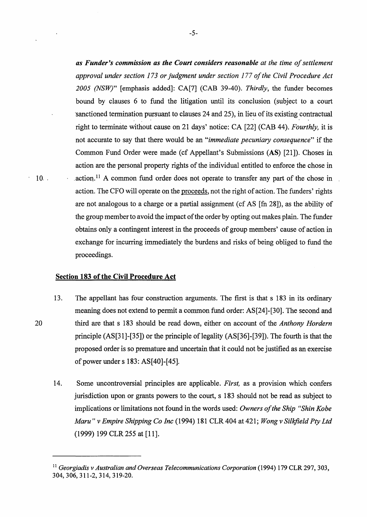*as Funder's commission as the Court considers reasonable at the time of settlement approval under section 173 or judgment under section 177 of the Civil Procedure Act 2005 (NSW)"* [emphasis added]: CA[7] (CAB 39-40). *Thirdly,* the funder becomes bound by clauses 6 to fund the litigation until its conclusion (subject to a court ·sanctioned termination pursuant to clauses 24 and 25), in lieu of its existing contractual right to terminate without cause on 21 days' notice: CA [22] (CAB 44). *Fourthly,* it is not accurate to say that there would be an *"immediate pecuniary consequence"* if the Common Fund Order were made (cf Appellant's Submissions **(AS)** [21]). Choses in action are the personal property rights of the individual entitled to enforce the chose in action.<sup>11</sup> A common fund order does not operate to transfer any part of the chose in action. The CFO will operate on the proceeds, not the right of action. The funders' rights are not analogous to a charge or a partial assignment (cf AS [fn 28]), as the ability of the group member to avoid the impact of the order by opting out makes plain. The funder obtains only a contingent interest in the proceeds of group members' cause of action in exchange for incurring immediately the burdens and risks of being obliged to fund the proceedings.

### **Section 183 of the Civil Procedure Act**

- 13. The appellant has four construction arguments. The first is that s 183 in its ordinary meaning does not extend to permit a common fund order: AS[24]-[30]. The second and third are that s 183 should be read down, either on account of the *Anthony Hordern*  principle  $(AS[31]-[35])$  or the principle of legality  $(AS[36]-[39])$ . The fourth is that the proposed order is so premature and uncertain that it could not be justified as an exercise of power under s 183: AS[40]-[45].
- 14. Some uncontroversial principles are applicable. *First,* as a provision which confers jurisdiction upon or grants powers to the court, s 183 should not be read as subject to implications or limitations not found in the words used: *Owners of the Ship "Shin Kobe Maru" v Empire Shipping Co Inc* (1994) 181 CLR 404 at 421; *Wong v Silkfield Pty Ltd* (1999) 199 CLR255 at [11].

20

 $\cdot$  10.

<sup>&</sup>lt;sup>11</sup> Georgiadis v Australian and Overseas Telecommunications Corporation (1994) 179 CLR 297, 303, 304, 306, 311-2, 314, 319-20.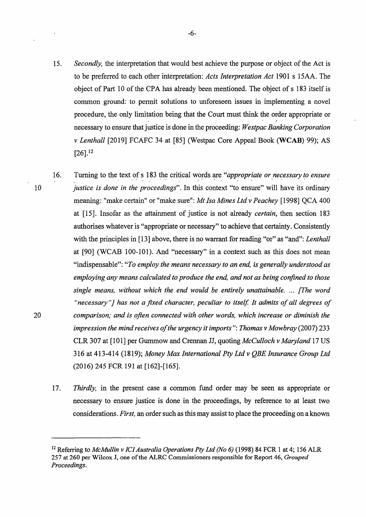- 15. *Secondly,* the interpretation that would best achieve the purpose or object of the Act is to be preferred to each other interpretation: *Acts Interpretation Act* 1901 s 15AA. The object of Part 10 of the CPA has already been mentioned. The object of s 183 itself is common ground: to permit solutions to unforeseen issues in implementing a novel procedure, the only limitation being that the Court must think the order appropriate or necessary to ensure that justice is done in the proceeding: *Westpac Banking Corporation v Lenthall* [2019] FCAFC 34 at [85] (Westpac Core Appeal Book **(WCAB)** 99); AS  $[26]$ <sup>12</sup>
- 16. Turning to the text of s 183 the critical words are "*appropriate or necessary to ensure* 10 *justice is done in the proceedings".* In this context "to ensure" will have its ordinary meaning: "make certain" or "make sure": *Mt Isa Mines Ltdv Peachey* [1998] QCA 400 at [15]. Insofar as the attainment of justice is not already *certain,* then section 183 authorises whatever is "appropriate or necessary" to achieve that certainty. Consistently with the principles in [13] above, there is no warrant for reading "or" as "and": *Lenthall* at [90] (WCAB 100-101). And "necessary" in a context such as this does not mean "indispensable": *"To employ the means necessary to an end, is generally understood as employing any means calculated to produce the end, and not as being confined to those single means, without which the end would be entirely unattainable. ... [The word* "necessary"] has not a fixed character, peculiar to itself. It admits of all degrees of 20 *comparison; and is often connected with other words, which increase or diminish the impression the mind receives of the urgency it imports": Thomas v Mowbray (2007) 233* CLR 307 at [101] per Gummow and Crennan JJ, quoting *McCulloch v Maryland* 17 US 316 at 413-414 (1819); *Money Max International Pty Ltd v QBE Insurance Group Ltd*  (2016) 245 FCR 191 at [162]-[165].
	- 17. *Thirdly,* in the present case a common fund order may be seen as appropriate or necessary to ensure justice is done in the proceedings, by reference to at least two considerations. *First,* an order such as this may assist to place the proceeding on a known

<sup>&</sup>lt;sup>12</sup> Referring to *McMullin v ICI Australia Operations Pty Ltd (No 6)* (1998) 84 FCR 1 at 4; 156 ALR 257 at 260 per Wilcox J, one of the ALRC Commissioners responsible for Report 46, *Grouped Proceedings.*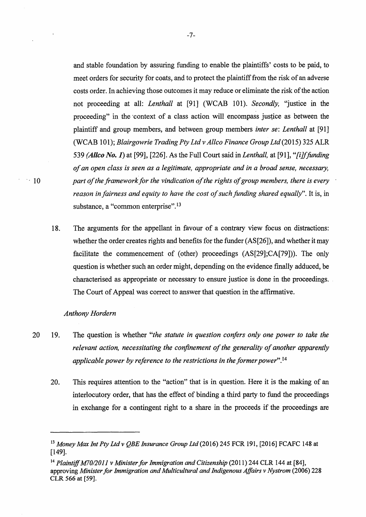and stable foundation by assuring funding to enable the plaintiffs' costs to be paid, to meet orders for security for coats, and to protect the plaintiff from the risk of an adverse costs order. In achieving those outcomes it may reduce or eliminate the risk of the action not proceeding at all: *Lenthall* at [91] (WCAB 101). *Secondly,* "justice in the proceeding" in the context of a class action will encompass justice as between the plaintiff and group members, and between group members *inter se: Lenthall* at [91] (WCAB 101); *Blairgowrie Trading Pty LtdvAllco Finance Group Ltd(20I5)* 325 ALR 539 *(Allco No. I)* at [99], [226]. As the Full Court said in *Lenthall,* at [91], *"[i]f fanding of an open class is seen as a legitimate, appropriate and in a broad sense, necessary,*  · · 10 *part of the framework for the vindication of the rights of group members, there is every reason in fairness and equity to have the cost of such funding shared equally*". It is, in substance, a "common enterprise".<sup>13</sup>

18. The arguments for the appellant in favour of a contrary view focus on distractions: whether the order creates rights and benefits for the funder (AS[26]), and whether it may facilitate the commencement of (other) proceedings (AS[29];CA[79])). The only question is whether such an order might, depending on the evidence finally adduced, be characterised as appropriate or necessary to ensure justice is done in the proceedings. The Court of Appeal was correct to answer that question in the affirmative.

#### *Anthony Hordern*

- 20 19. The question is whether *"the statute in question confers only one power to take the relevant action, necessitating the confinement of the generality of another apparently applicable power by reference to the restrictions in the former power".*<sup>14</sup>
	- 20. This requires attention to the "action" that is in question. Here it is the making of an interlocutory order, that has the effect of binding a third party-to fund the proceedings in exchange for a contingent right to a share in the proceeds if the proceedings are

<sup>&</sup>lt;sup>13</sup> Money Max Int Pty Ltd v QBE Insurance Group Ltd (2016) 245 FCR 191, [2016] FCAFC 148 at (149].

<sup>&</sup>lt;sup>14</sup> Plaintiff M70/2011 v Minister for Immigration and Citizenship (2011) 244 CLR 144 at [84], approving *Minister for Immigration and Multicultural and Indigenous Affairs v Nystrom* (2006) 228 CLR 566 at [59].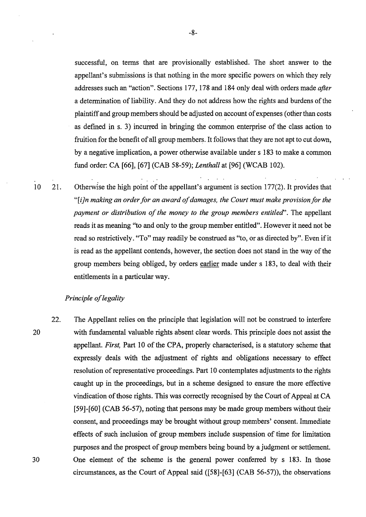successful, on terms that are provisionally established. The short answer to the appellant's submissions is that nothing in the more specific powers on which they rely addresses such an "action". Sections 177, 178 and 184 only deal with orders made *after*  a determination of liability. And they do not address how the rights and burdens of the plaintiff and group members should be adjusted on account of expenses ( other than costs as defined in s. 3) incurred in bringing the common enterprise of the class action to fruition for the benefit of all group members. It follows that they are not apt to cut down, by a negative implication, a power otherwise available under s 183 to make a common fund order: CA [66], [67] (CAB 58-59); *Lenthall* at [96] (WCAB 102).

10 21. Otherwise the high point of the appellant's argument is section 177(2). It provides that *"[i}n making an order for an award of damages, the Court must make provision for the payment or distribution of the money to the group members entitled'.* The appellant reads it as meaning "to and only to the group member entitled". However it need not be read so restrictively. "To" may readily be construed as "to, or as directed by". Even if it is read as the appellant contends, however, the section does not stand in the way of the group members being obliged, by orders earlier made under s 183, to deal with their entitlements in a particular way.

#### *Principle of legality*

20

30

22. The Appellant relies on the principle that legislation will not be construed to interfere with fundamental valuable rights absent clear words. This principle does not assist the appellant. *First*, Part 10 of the CPA, properly characterised, is a statutory scheme that expressly deals with the adjustment of rights and obligations necessary to effect resolution of representative proceedings. Part 10 contemplates adjustments to the rights caught up in the proceedings, but in a scheme designed to ensure the more effective vindication of those rights. This was correctly recognised by the Court of Appeal at CA [59]-[60] (CAB 56-57), noting that persons may be made group members without their consent, and proceedings may be brought without group members' consent. Immediate effects of such inclusion of group members include suspension of time for limitation purposes and the prospect of group members being bound by a judgment or settlement. One element of the scheme is the general power conferred by s 183. In those circumstances, as the Court of Appeal said ([58]-[63] (CAB 56-57)), the observations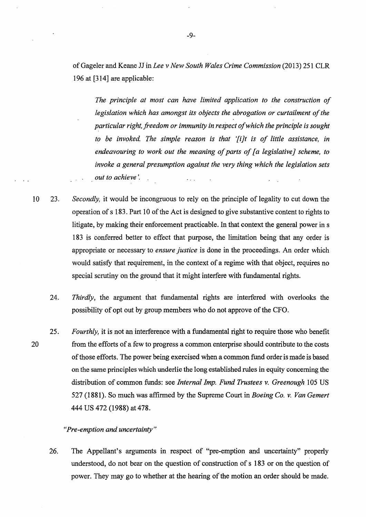ofGageler and Keane JJ in *Lee v New South Wales Crime Commission* (2013) 251 CLR 196 at [314] are applicable:

*The principle at most can have limited application to the construction of legislation which has amongst its objects the abrogation or curtailment of the particular right, freedom or immunity in respect of which the principle is sought*  to be invoked. The simple reason is that '[i]t is of little assistance, in *endeavouring to work out the meaning of parts of [a legislative] scheme, to invoke a general presumption against the very thing which the legislation sets out to achieve* '. .

- 10 23. *Secondly,* it would be incongruous to rely on the principle of legality to cut down the operation of s 183. Part 10 of the Act is designed to give substantive content to rights to litigate, by making their enforcement practicable. In that context the general power in s 183 is conferred better to effect that purpose, the limitation being that any order is appropriate or necessary to *ensure justice* is done in the proceedings. An order which would satisfy that requirement, in the context of a regime with that object, requires no special scrutiny on the ground that it might interfere with fundamental rights.
	- 24. *Thirdly,* the argument that fundamental rights are interfered with overlooks the possibility of opt out by group members who do not approve of the CFO.
	- 25. *Fourthly,* it is not an interference with a fundamental right to require those who benefit from the efforts of a few to progress a common enterprise should contribute to the costs of those efforts. The power being exercised when a common fund order is made is based on the same principles which underlie the long established rules in equity concerning the distribution of common funds: see *Internal Imp. Fund Trustees v. Greenough* 105 US 527 (1881). So much was affirmed by the Supreme Court in *Boeing Co. v. Van Gernert*  444 US 472 (1988) at 478.

## *"Pre-emption and uncertainty"*

20

26. The Appellant's arguments in respect of "pre-emption and uncertainty" properly understood, do not bear on the question of construction of s 183 or on the question of power. They may go to whether at the hearing of the motion an order should be made.

-9-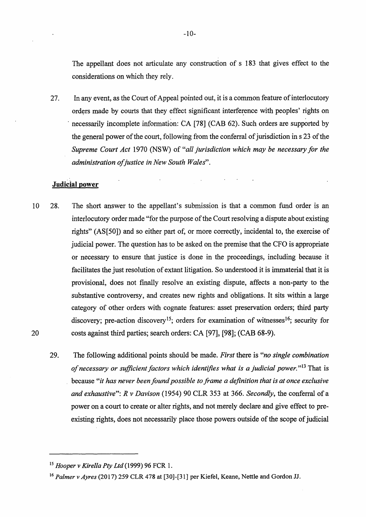The appellant does not articulate any construction of s 183 that gives effect to the considerations on which they rely.

27. In any event, as the Court of Appeal pointed out, it is a common feature of interlocutory orders made by courts that they effect significant interference with peoples' rights on necessarily incomplete information: CA [78] (CAB 62). Such orders are supported by the general power of the court, following from the conferral of jurisdiction ins 23 of the *Supreme Court Act* 1970 (NSW) of *"all jurisdiction which may be necessary for the administration of justice in New South Wales".* 

## **Judicial power**

- 10 28. The short answer to the appellant's submission is that a common fund order is an interlocutory order made "for the purpose of the Court resolving a dispute about existing rights" (AS[50]) and so either part of, or more correctly, incidental to, the exercise of judicial power. The question has to be asked on the premise that the CFO is appropriate or necessary to ensure that justice is done in the proceedings, including because it facilitates the just resolution of extant litigation. So understood it is immaterial that it is provisional, does not finally resolve an existing dispute, affects a non-party to the substantive controversy, and creates new rights and obligations. It sits within a large category of other orders with cognate features: asset preservation orders; third party discovery; pre-action discovery<sup>15</sup>; orders for examination of witnesses<sup>16</sup>; security for 20 costs against third parties; search orders: CA [97], [98]; (CAB 68-9).
	- 29. The following additional points should be made. *First* there is *"no single combination of necessary or sufficient factors which identifies what is a judicial power.* "13 That is because *"it has never been found possible to frame a definition that is at once exclusive and exhaustive": R v Davison* (1954) 90 CLR 353 at 366. *Secondly,* the conferral of a power on a court to create or alter rights, and not merely declare and give effect to preexisting rights, does not necessarily place those powers outside of the scope of judicial

<sup>15</sup>*Hooper v Kirella Pty Ltd* (1999) 96 FCR 1.

<sup>&</sup>lt;sup>16</sup> Palmer v Ayres (2017) 259 CLR 478 at [30]-[31] per Kiefel, Keane, Nettle and Gordon JJ.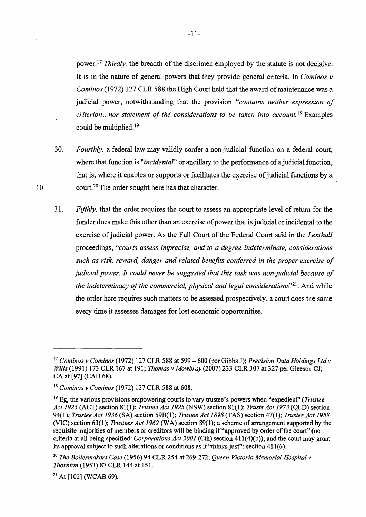power. <sup>17</sup>*Thirdly,* the breadth of the discrimen employed by the statute is not decisive. It is in the nature of general powers that they provide general criteria. In *Cominos v Cominos* (1972) 127 CLR 588 the High Court held that the award of maintenance was a judicial power, notwithstanding that the provision *"contains neither expression of criterion... nor statement of the considerations to be taken into account.* <sup>18</sup> Examples could be multiplied. 19

- 30. *Fourthly,* a federal law may validly confer a non-judicial function on a federal court, where that function is *"incidental"* or ancillary to the performance of a judicial function, that is, where it enables or supports or facilitates the exercise of judicial functions by a court. 20 The order sought here has that character.
- 31. *Fifthly,* that the order requires the court to assess an appropriate level of return for the funder does make this other than an exercise of power that is judicial or incidental to the exercise of judicial power. As the Full Court of the Federal Court said in the *Lenthall*  proceedings, *"courts assess imprecise, and to a degree indeterminate, considerations such as risk, reward, danger and related benefits conferred in the proper exercise of judicial power. It could never be suggested that this task was non-judicial because of the indeterminacy of the commercial, physical and legal considerations*<sup>"21</sup>. And while the order here requires such matters to be assessed prospectively, a court does the same every time it assesses damages for lost economic opportunities.

<sup>&</sup>lt;sup>17</sup> Cominos v Cominos (1972) 127 CLR 588 at 599 - 600 (per Gibbs J); *Precision Data Holdings Ltd v Wills* (1991) 173 CLR 167 at 191; *Thomas v Mowbray(2007)* 233 CLR 307 at 327 per Gleeson CJ; CA at [97] (CAB **68).** 

<sup>18</sup>*Caminos v Caminos* (1972) 127 CLR 588 at 608.

<sup>19</sup> Eg, the various provisions empowering courts to vary trustee's powers when "expedient" *(Trustee Act 1925* (ACT) section 81(1); *Trustee Act 1925* (NSW) section 81(1); *Trusts Act 1973* (QLD) section 94(1); *Trustee Act 1936* (SA) section 59B(l); *Trustee Act 1898* (TAS) section 47(1); *Trustee Act 1958*  (VIC) section 63(1); *Trustees Act 1962* (WA) section 89(1); a scheme of arrangement supported by the requisite majorities of members or creditors will be binding if"approved by order of the court" (no criteria at all being specified: *Corporations Act 2001* (Cth) section 411(4)(b)); and the court may grant its approval subject to such alterations or conditions as it "thinks just": section  $411(6)$ .

<sup>20</sup>*The Boilermakers Case* (1956) 94 CLR 254 at 269-272; *Queen Victoria Memorial Hospital v Thornton* (1953) 87 CLR 144 at 151.

<sup>&</sup>lt;sup>21</sup> At [102] (WCAB 69).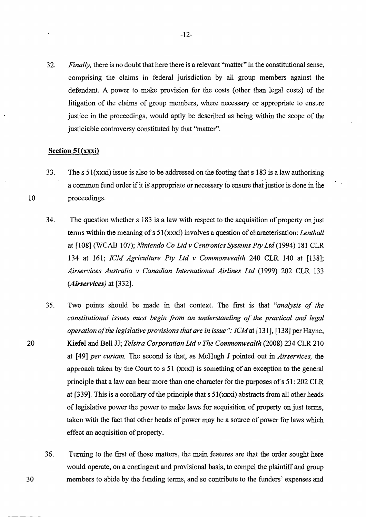32. *Finally,* there is no doubt that here there is a relevant "matter" in the constitutional sense, comprising the claims in federal jurisdiction by all group members against the defendant. A power to make provision for the costs (other than legal costs) of the litigation of the claims of group members, where necessary or appropriate to ensure justice in the proceedings, would aptly be described as being within the scope of the justiciable controversy constituted by that "matter".

## **Section 51(xxxi)**

- 33. The s  $51(xxxi)$  issue is also to be addressed on the footing that s 183 is a law authorising a common fund order if it is appropriate or necessary to ensure that justice is done in the proceedings.
- 34. The question whether s 183 is a law with respect to the acquisition of property on just terms within the meaning of s 51 **(xxxi)** involves a question of characterisation: *Lenthall*  at [108] (WCAB 107); *Nintendo Co Ltd v Centronics Systems Pty Ltd* (1994) 181 CLR 134 at 161; *ICM Agriculture Pty Ltd v Commonwealth* 240 CLR 140 at [138]; *Airservices Australia v Canadian International Airlines Ltd* (1999) 202 CLR 133 *(Airservices)* at [332].
- 35. Two points should be made in that context. The first is that *"analysis of the constitutional issues must begin from an understanding of the practical and legal operation of the legislative provisions that are in issue": ICM* at [131], [138] per Hayne, Kiefel and Bell JJ; *Telstra Corporation Ltd v The Commonwealth* (2008) 234 CLR 210 at [49] *per curiam.* The second is that, as McHugh J pointed out in *Airservices,* the approach taken by the Court to s 51 (xxxi) is something of an exception to the general principle that a law can bear more than one character for the purposes of s 51: 202 CLR at [339]. This is a corollary of the principle thats *5* **l(xxxi)** abstracts from all other heads of legislative power the power to make laws for acquisition of property on just terms, taken with the fact that other heads of power may be a source of power for laws which effect an acquisition of property.
- 36. Turning to the first of those matters, the main features are that the order sought here would operate, on a contingent and provisional basis, to compel the plaintiff and group members to abide by the funding terms, and so contribute to the funders' expenses and

20

30

IO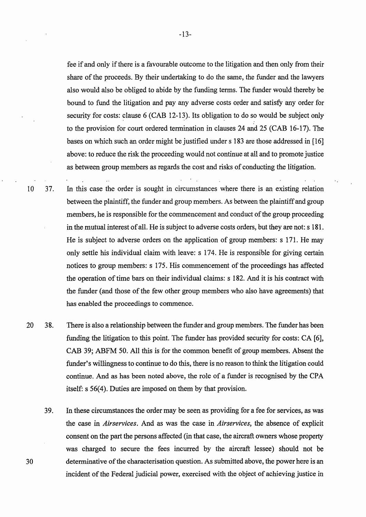fee if and only if there is a favourable outcome to the litigation and then only from their share of the proceeds. By their undertaking to do the same, the funder and the lawyers also would also be obliged to abide by the funding terms. The funder would thereby be bound to fund the litigation and pay any adverse costs order and satisfy any order for security for costs: clause  $6$  (CAB 12-13). Its obligation to do so would be subject only to the provision for court ordered termination in clauses 24 and 25 (CAB 16-17). The bases on which such an order might be justified under s 183 are those addressed in (16] above: to reduce the risk the proceeding would not continue at all and to promote justice as between group members as regards the cost and risks of conducting the litigation.

10 37. In this case the order is sought in circumstances where there is an existing relation between the plaintiff, the funder and group members. As between the plaintiff and group members, he is responsible for the commencement and conduct of the group proceeding in the mutual interest of all. He is subject to adverse costs orders, but they are not: s 181. He is subject to adverse orders on the application of group members: s 171. He may only settle his individual claim with leave: s 174. He is responsible for giving certain notices to group members: s 175. His commencement of the proceedings has affected the operation of time bars on their individual claims: s 182. And it is his contract with the funder (and those of the few other group members who also have agreements) that has enabled the proceedings to commence.

20 38. There is also a relationship between the funder and group members. The funder has been funding the litigation to this point. The funder has provided security for costs: CA [6], CAB 39; ABFM 50. All this is for the common benefit of group members. Absent the funder's willingness to continue to do this, there is no reason to think the litigation could continue. And as has been noted above, the role of a funder is recognised by the CPA itself: s 56(4). Duties are imposed on them by that provision.

39. In these circumstances the order may be seen as providing for a fee for services, as was the case in *Airservices*. And as was the case in *Airservices*, the absence of explicit conserit on the part the persons affected (in that case, the aircraft owners whose property was charged to secure the fees incurred by the aircraft lessee) should not be determinative of the characterisation question. As submitted above, the power here is an incident of the Federal judicial power, exercised with the object of achieving justice in

-13-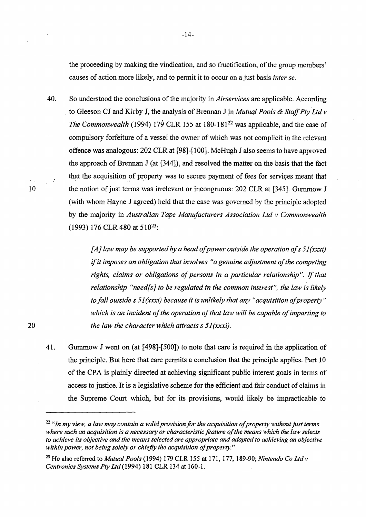the proceeding by making the vindication, and so fructification, of the group members' causes of action more likely, and to permit it to occur on a just basis *inter se.* 

40. So understood the conclusions of the majority in *Airservices* are applicable. According to Gleeson CJ and Kirby J, the analysis of Brennan J in *Mutual Pools & Staff Pty Ltd v The Commonwealth* (1994) 179 CLR 155 at 180-181<sup>22</sup> was applicable, and the case of compulsory forfeiture of a vessel the owner of which was not complicit in the relevant offence was analogous: 202 CLR at [98]-[100]. McHugh J also seems to have approved the approach of Brennan J (at [344]), and resolved the matter on the basis that the fact that the acquisition of property was to secure payment of fees for services meant that the notion of just terms was irrelevant or incongruous: 202 CLR at [345]. Gummow J (with whom Hayne J agreed) held that the case was governed by the principle adopted by the majority in *Australian Tape Manufacturers Association Ltd v Commonwealth*  (1993) 176 CLR 480 at 510<sup>23</sup>:

> *[ A] law may be supported by a head of power outside the operation of s 51 (xxxi) if it imposes an obligation that involves "a genuine adjustment of the competing rights, claims or obligations of persons in a particular relationship". If that relationship "need[s] to be regulated in the common interest", the law is likely to fall outside s 51 (xxxi) because it is unlikely that any "acquisition of property" which is an incident of the operation of that law will be capable of imparting to the law the character which attracts s 51 (xxxi).*

41. Gummow J went on (at [498]-[500]) to note that care is required in the application of the principle. But here that care permits a conclusion that the principle applies. Part 10 of the CPA is plainly directed at achieving significant public interest goals in tenns of access to justice. It is a legislative scheme for the efficient and fair conduct of claims in the Supreme Court which, but for its provisions, would likely be impracticable to

 $\bar{z}$  . IO

<sup>22</sup>*"In my view, a law may contain a valid provision for the acquisition of property without just terms where such an acquisition is a necessary or characteristic feature of the means which the law selects to achieve its objective and the means selected are appropriate and adapted to achieving an objective within power, not being solely or chiefly the acquisition of property."* 

<sup>23</sup> He also referred to *Mutual Pools* (1994) 179 CLR 155 at 171, 177, 189-90; *Nintendo Co Ltdv Centronics Systems Pty Ltd* (1994) 181 CLR 134 at 160-1.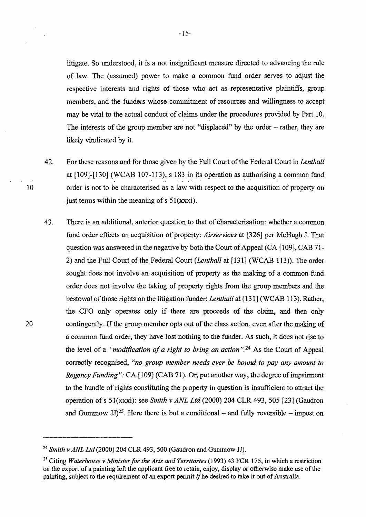litigate. So understood, it is a not insignificant measure directed to advancing the rule of law. The (assumed) power to make a common fund order serves to adjust the respective interests and rights of those who act as representative plaintiffs, group members, and the funders whose commitment of resources and willingness to accept may be vital to the actual conduct of claims under the procedures provided by Part 10. The interests of the group member are not "displaced" by the order – rather, they are likely vindicated by it.

42. For these reasons and for those given by the Full Court of the Federal Court in *Lenthall*  at  $[109]$ - $[130]$  (WCAB 107-113), s 183 in its operation as authorising a common fund order is not to be characterised as a law with respect to the acquisition of property on just terms within the meaning of s 51(xxxi).

10

20

43. There is an additional, anterior question to that of characterisation: whether a common fund order effects an acquisition of property: *Airservices* at [326] per McHugh J. That question was answered in the negative by both the Court of Appeal (CA [109], CAB 71- 2) and the Full Court of the Federal Court *(Lenthall* at [131] (WCAB 113)). The order sought does not involve an acquisition of property as the making of a common fund order does not involve the taking of property rights from the group members and the bestowal of those rights on the litigation funder: *Lenthall* at [131] (WCAB 113). Rather, the CFO only operates only if there are proceeds of the claim, and then only contingently. If the group member opts out of the class action, even after the making of a common fund order, they have lost nothing to the funder. As such, it does not rise to the level of a *"modification of a right to bring an action* ". 24 As the Court of Appeal correctly recognised, *"no group member needs ever be bound to pay any amount to Regency Funding":* CA [109] (CAB 71). Or, put another way, the degree of impairment to the bundle of rights constituting the property in question is insufficient to attract the operation of s 51(xxxi): see *Smith v ANL Ltd* (2000) 204 CLR 493, 505 [23] (Gaudron and Gummow JJ $^{25}$ . Here there is but a conditional – and fully reversible – impost on

-15-

<sup>24</sup>*Smith v ANL Ltd* (2000) 204 CLR 493, 500 (Gaudron and Gummow JJ).

<sup>25</sup> Citing *Waterhouse v Minister for the Arts and Territories* (1993) 43 FCR 175, in which a restriction on the export of a painting left the applicant free to retain, enjoy, display or otherwise make use of the painting, subject to the requirement of an export permit ifhe desired to take it out of Australia.